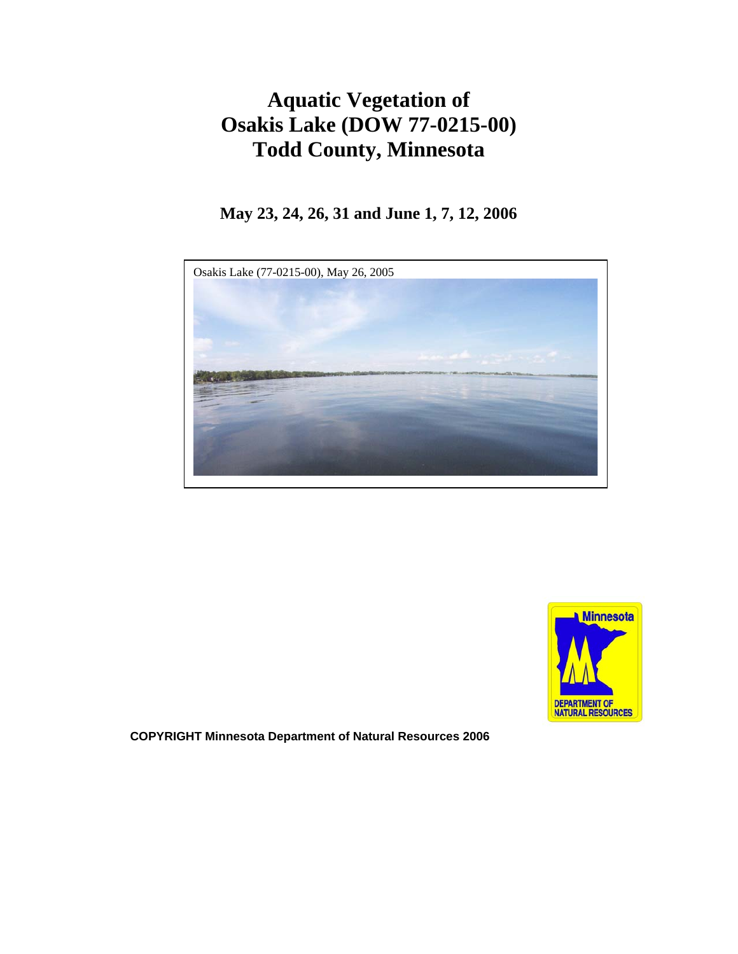# **Aquatic Vegetation of Osakis Lake (DOW 77-0215-00) Todd County, Minnesota**

**May 23, 24, 26, 31 and June 1, 7, 12, 2006** 





**COPYRIGHT Minnesota Department of Natural Resources 2006**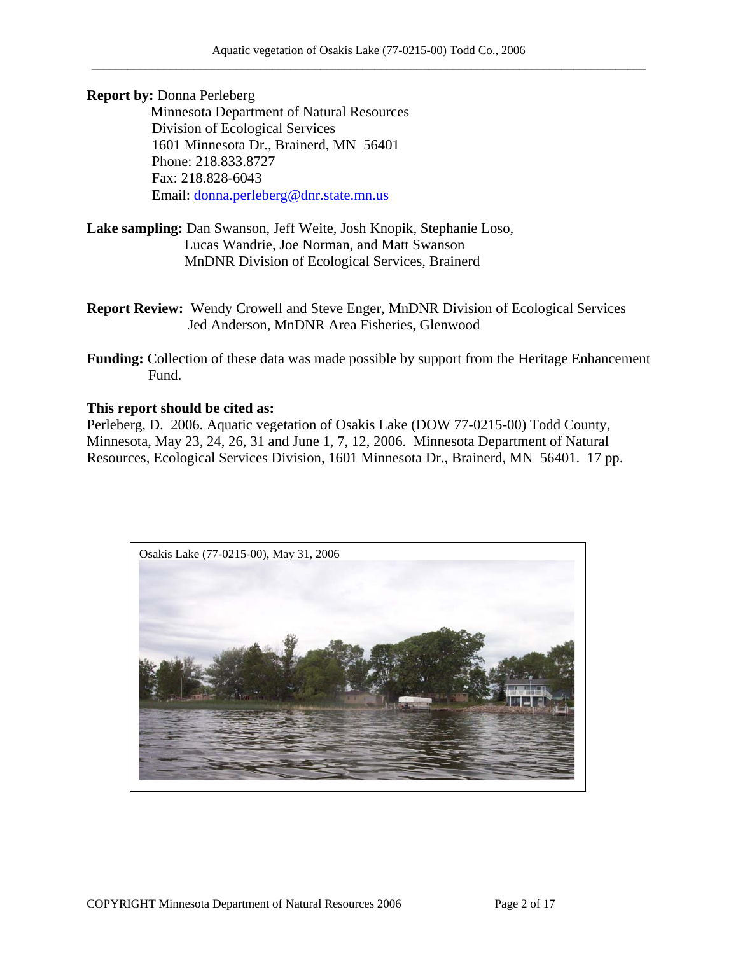**Report by: Donna Perleberg<br>Minnesota Department of Natural Resources**  Division of Ecological Services 1601 Minnesota Dr., Brainerd, MN 56401 Phone: 218.833.8727 Fax: 218.828-6043 Email: [donna.perleberg@dnr.state.mn.us](mailto:donna.perleberg@dnr.state.mn.us)

- **Lake sampling:** Dan Swanson, Jeff Weite, Josh Knopik, Stephanie Loso, Lucas Wandrie, Joe Norman, and Matt Swanson MnDNR Division of Ecological Services, Brainerd
- **Report Review:** Wendy Crowell and Steve Enger, MnDNR Division of Ecological Services Jed Anderson, MnDNR Area Fisheries, Glenwood
- **Funding:** Collection of these data was made possible by support from the Heritage Enhancement Fund.

#### **This report should be cited as:**

Perleberg, D. 2006. Aquatic vegetation of Osakis Lake (DOW 77-0215-00) Todd County, Minnesota, May 23, 24, 26, 31 and June 1, 7, 12, 2006. Minnesota Department of Natural Resources, Ecological Services Division, 1601 Minnesota Dr., Brainerd, MN 56401. 17 pp.

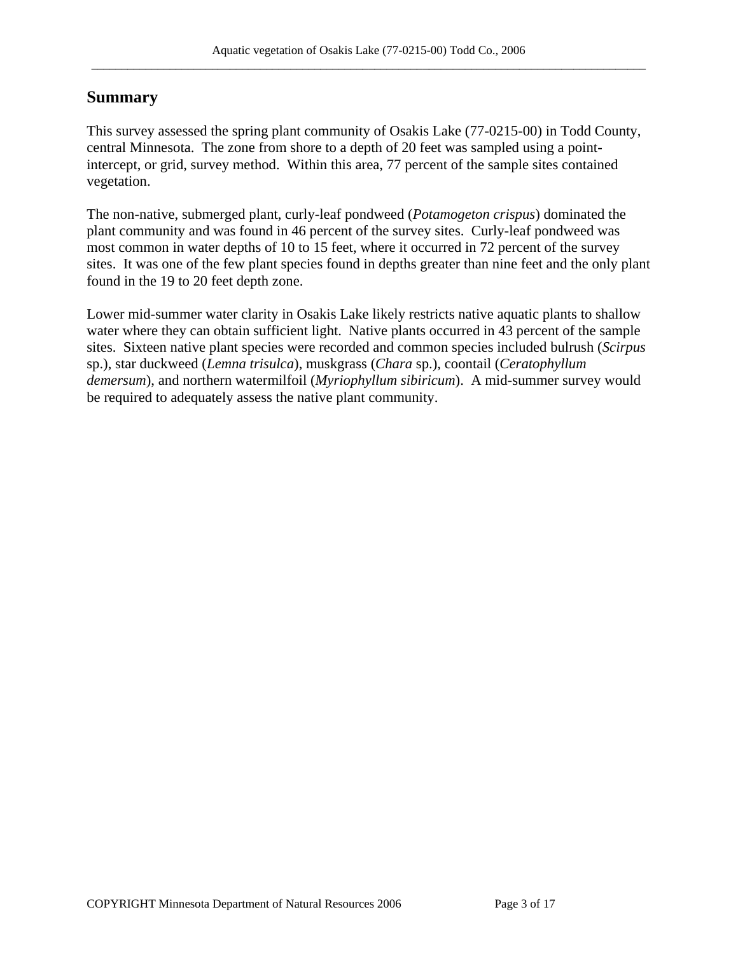# **Summary**

This survey assessed the spring plant community of Osakis Lake (77-0215-00) in Todd County, central Minnesota. The zone from shore to a depth of 20 feet was sampled using a pointintercept, or grid, survey method. Within this area, 77 percent of the sample sites contained vegetation.

The non-native, submerged plant, curly-leaf pondweed (*Potamogeton crispus*) dominated the plant community and was found in 46 percent of the survey sites. Curly-leaf pondweed was most common in water depths of 10 to 15 feet, where it occurred in 72 percent of the survey sites. It was one of the few plant species found in depths greater than nine feet and the only plant found in the 19 to 20 feet depth zone.

Lower mid-summer water clarity in Osakis Lake likely restricts native aquatic plants to shallow water where they can obtain sufficient light. Native plants occurred in 43 percent of the sample sites. Sixteen native plant species were recorded and common species included bulrush (*Scirpus* sp.), star duckweed (*Lemna trisulca*), muskgrass (*Chara* sp.), coontail (*Ceratophyllum demersum*), and northern watermilfoil (*Myriophyllum sibiricum*). A mid-summer survey would be required to adequately assess the native plant community.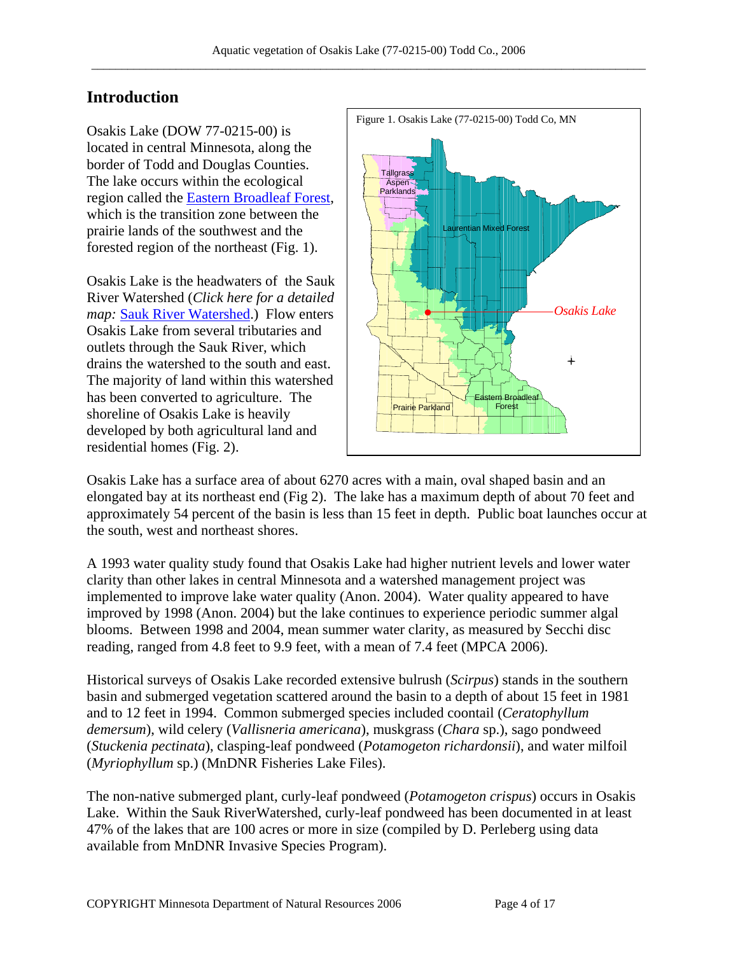# **Introduction**

Osakis Lake (DOW 77-0215-00) is located in central Minnesota, along the border of Todd and Douglas Counties. The lake occurs within the ecological region called the [Eastern Broadleaf Forest](http://www.dnr.state.mn.us/ecs/222/index.html), which is the transition zone between the prairie lands of the southwest and the forested region of the northeast (Fig. 1).

Osakis Lake is the headwaters of the Sauk River Watershed (*Click here for a detailed map:* [Sauk River Watershed.](http://www.srwdmn.org/pdf/maps/saukriverbasemap.pdf)) Flow enters Osakis Lake from several tributaries and outlets through the Sauk River, which drains the watershed to the south and east. The majority of land within this watershed has been converted to agriculture. The shoreline of Osakis Lake is heavily developed by both agricultural land and residential homes (Fig. 2).



Osakis Lake has a surface area of about 6270 acres with a main, oval shaped basin and an elongated bay at its northeast end (Fig 2). The lake has a maximum depth of about 70 feet and approximately 54 percent of the basin is less than 15 feet in depth. Public boat launches occur at the south, west and northeast shores.

A 1993 water quality study found that Osakis Lake had higher nutrient levels and lower water clarity than other lakes in central Minnesota and a watershed management project was implemented to improve lake water quality (Anon. 2004). Water quality appeared to have improved by 1998 (Anon. 2004) but the lake continues to experience periodic summer algal blooms. Between 1998 and 2004, mean summer water clarity, as measured by Secchi disc reading, ranged from 4.8 feet to 9.9 feet, with a mean of 7.4 feet (MPCA 2006).

Historical surveys of Osakis Lake recorded extensive bulrush (*Scirpus*) stands in the southern basin and submerged vegetation scattered around the basin to a depth of about 15 feet in 1981 and to 12 feet in 1994. Common submerged species included coontail (*Ceratophyllum demersum*), wild celery (*Vallisneria americana*), muskgrass (*Chara* sp.), sago pondweed (*Stuckenia pectinata*), clasping-leaf pondweed (*Potamogeton richardonsii*), and water milfoil (*Myriophyllum* sp.) (MnDNR Fisheries Lake Files).

The non-native submerged plant, curly-leaf pondweed (*Potamogeton crispus*) occurs in Osakis Lake. Within the Sauk RiverWatershed, curly-leaf pondweed has been documented in at least 47% of the lakes that are 100 acres or more in size (compiled by D. Perleberg using data available from MnDNR Invasive Species Program).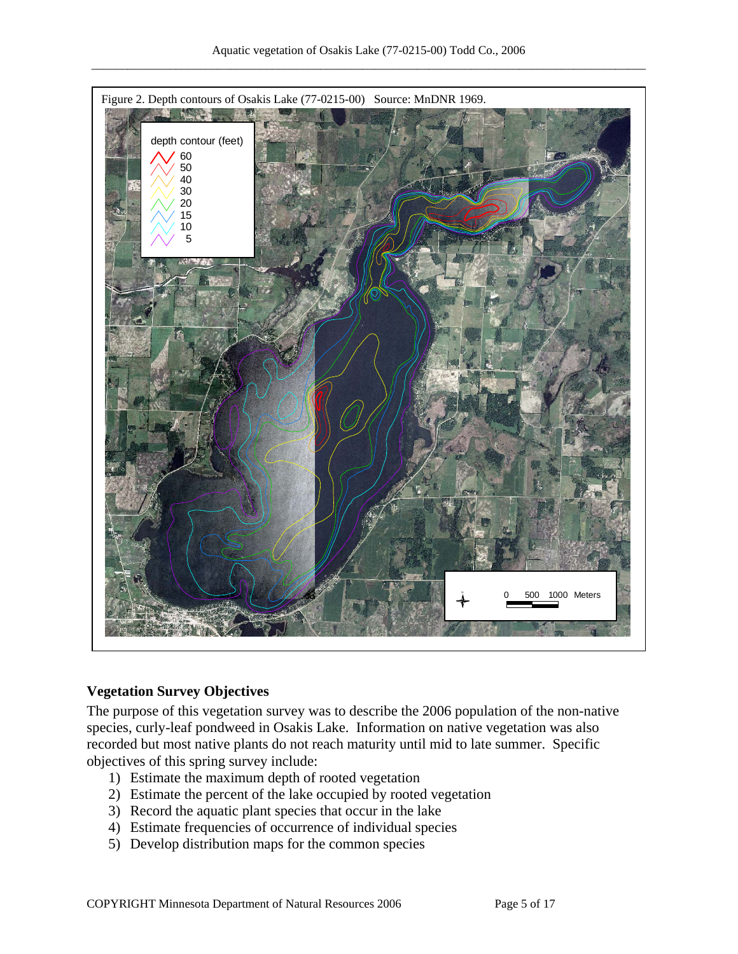

#### **Vegetation Survey Objectives**

The purpose of this vegetation survey was to describe the 2006 population of the non-native species, curly-leaf pondweed in Osakis Lake. Information on native vegetation was also recorded but most native plants do not reach maturity until mid to late summer. Specific objectives of this spring survey include:

- 1) Estimate the maximum depth of rooted vegetation
- 2) Estimate the percent of the lake occupied by rooted vegetation
- 3) Record the aquatic plant species that occur in the lake
- 4) Estimate frequencies of occurrence of individual species
- 5) Develop distribution maps for the common species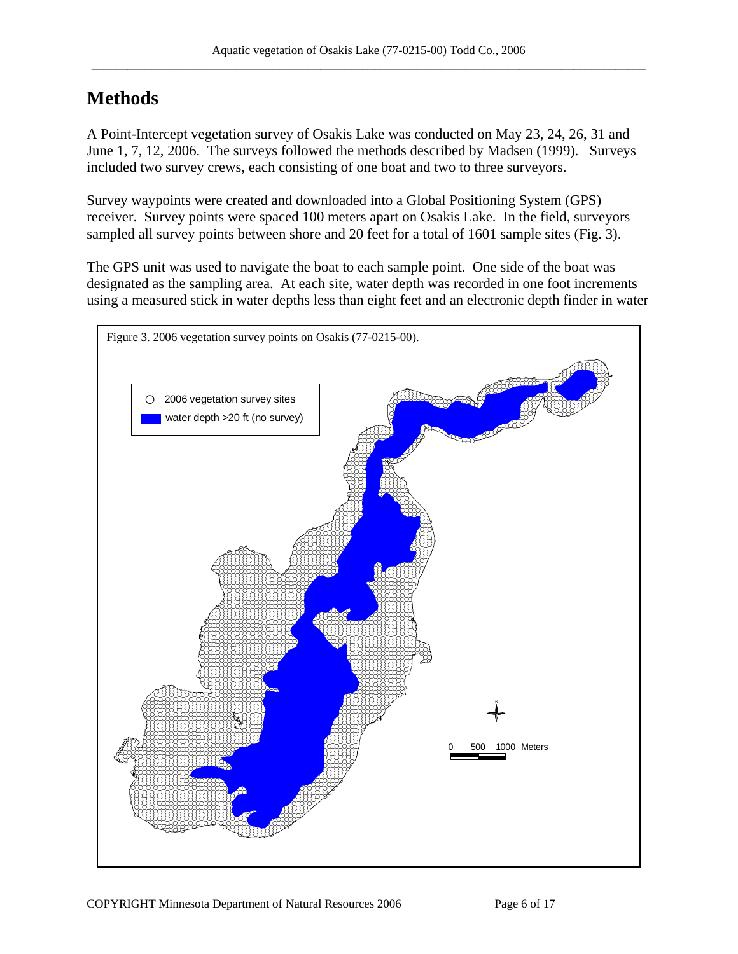# **Methods**

A Point-Intercept vegetation survey of Osakis Lake was conducted on May 23, 24, 26, 31 and June 1, 7, 12, 2006. The surveys followed the methods described by Madsen (1999). Surveys included two survey crews, each consisting of one boat and two to three surveyors.

Survey waypoints were created and downloaded into a Global Positioning System (GPS) receiver. Survey points were spaced 100 meters apart on Osakis Lake. In the field, surveyors sampled all survey points between shore and 20 feet for a total of 1601 sample sites (Fig. 3).

The GPS unit was used to navigate the boat to each sample point. One side of the boat was designated as the sampling area. At each site, water depth was recorded in one foot increments using a measured stick in water depths less than eight feet and an electronic depth finder in water

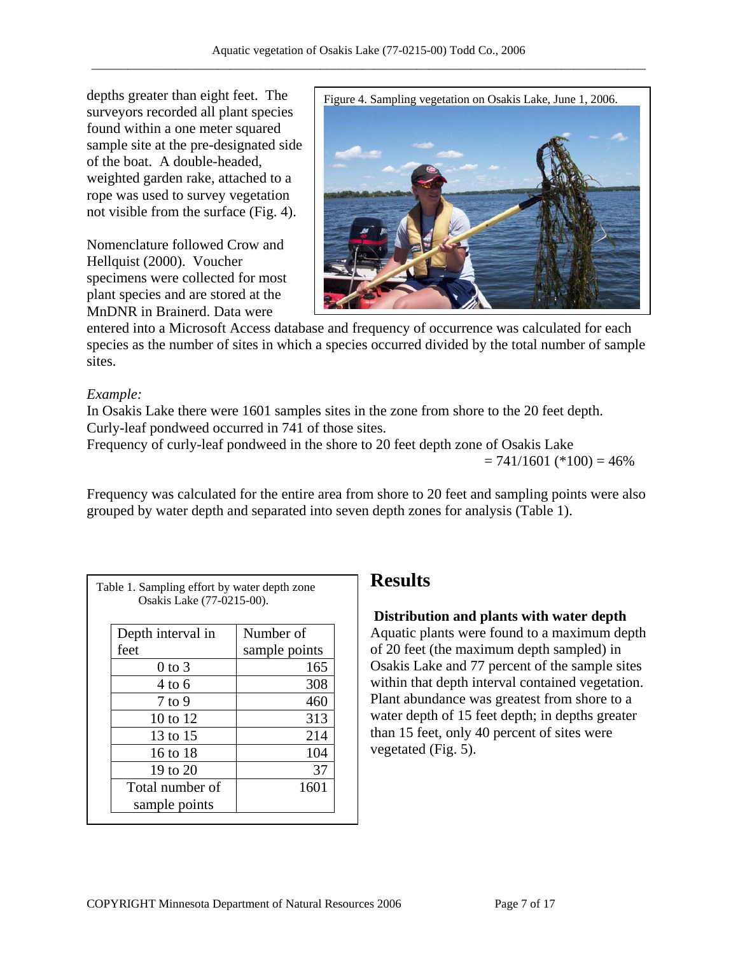depths greater than eight feet. The surveyors recorded all plant species found within a one meter squared sample site at the pre-designated side of the boat. A double-headed, weighted garden rake, attached to a rope was used to survey vegetation not visible from the surface (Fig. 4).

Nomenclature followed Crow and Hellquist (2000). Voucher specimens were collected for most plant species and are stored at the MnDNR in Brainerd. Data were

![](_page_6_Picture_3.jpeg)

entered into a Microsoft Access database and frequency of occurrence was calculated for each species as the number of sites in which a species occurred divided by the total number of sample sites.

## *Example:*

In Osakis Lake there were 1601 samples sites in the zone from shore to the 20 feet depth. Curly-leaf pondweed occurred in 741 of those sites.

Frequency of curly-leaf pondweed in the shore to 20 feet depth zone of Osakis Lake  $= 741/1601$  (\*100)  $= 46\%$ 

Frequency was calculated for the entire area from shore to 20 feet and sampling points were also grouped by water depth and separated into seven depth zones for analysis (Table 1).

| Table 1. Sampling effort by water depth zone<br>Osakis Lake (77-0215-00). |           |
|---------------------------------------------------------------------------|-----------|
| Depth interval in                                                         | Number of |

| Depth interval in | Number of     |
|-------------------|---------------|
| feet              | sample points |
| $0$ to $3$        | 165           |
| 4 to 6            | 308           |
| $7$ to $9$        | 460           |
| 10 to 12          | 313           |
| 13 to 15          | 214           |
| 16 to 18          | 104           |
| 19 to 20          | 37            |
| Total number of   | 1601          |
| sample points     |               |

# Results

## **Distribution and plants with water depth**

Aquatic plants were found to a maximum depth of 20 feet (the maximum depth sampled) in Osakis Lake and 77 percent of the sample sites within that depth interval contained vegetation. Plant abundance was greatest from shore to a water depth of 15 feet depth; in depths greater than 15 feet, only 40 percent of sites were vegetated (Fig. 5).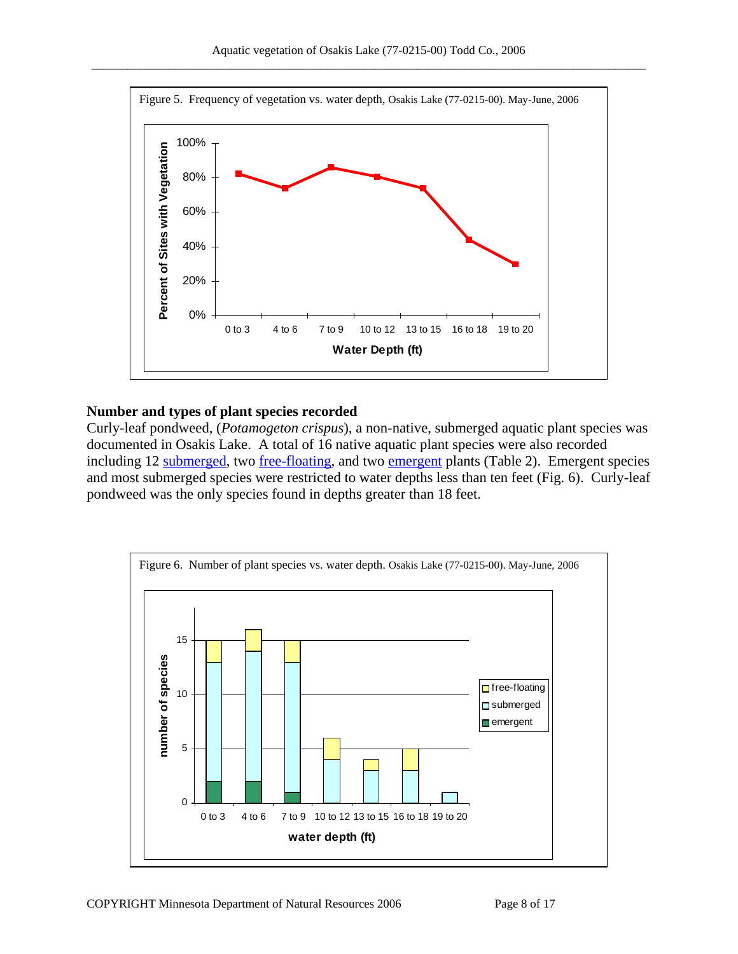![](_page_7_Figure_1.jpeg)

### **Number and types of plant species recorded**

Curly-leaf pondweed, (*Potamogeton crispus*), a non-native, submerged aquatic plant species was documented in Osakis Lake. A total of 16 native aquatic plant species were also recorded including 12 [submerged,](http://www.dnr.state.mn.us/shorelandmgmt/apg/wheregrow.html) two [free-floating,](http://www.dnr.state.mn.us/shorelandmgmt/apg/wheregrow.html) and two [emergent](http://www.dnr.state.mn.us/shorelandmgmt/apg/wheregrow.html) plants (Table 2). Emergent species and most submerged species were restricted to water depths less than ten feet (Fig. 6). Curly-leaf pondweed was the only species found in depths greater than 18 feet.

![](_page_7_Figure_4.jpeg)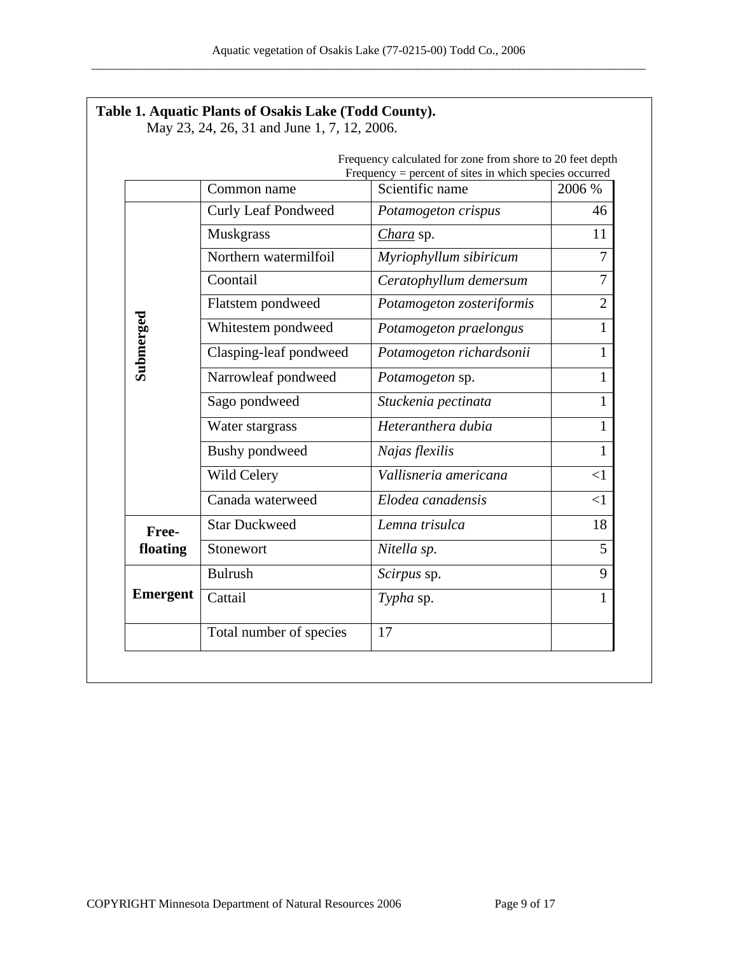|                 |                            | Frequency calculated for zone from shore to 20 feet depth<br>Frequency = percent of sites in which species occurred |                |
|-----------------|----------------------------|---------------------------------------------------------------------------------------------------------------------|----------------|
|                 | Common name                | Scientific name                                                                                                     | 2006 %         |
|                 | <b>Curly Leaf Pondweed</b> | Potamogeton crispus                                                                                                 | 46             |
|                 | <b>Muskgrass</b>           | Chara sp.                                                                                                           | 11             |
|                 | Northern watermilfoil      | Myriophyllum sibiricum                                                                                              | 7              |
|                 | Coontail                   | Ceratophyllum demersum                                                                                              | 7              |
|                 | Flatstem pondweed          | Potamogeton zosteriformis                                                                                           | $\overline{2}$ |
|                 | Whitestem pondweed         | Potamogeton praelongus                                                                                              | 1              |
| Submerged       | Clasping-leaf pondweed     | Potamogeton richardsonii                                                                                            | 1              |
|                 | Narrowleaf pondweed        | Potamogeton sp.                                                                                                     | 1              |
|                 | Sago pondweed              | Stuckenia pectinata                                                                                                 | 1              |
|                 | Water stargrass            | Heteranthera dubia                                                                                                  | 1              |
|                 | Bushy pondweed             | Najas flexilis                                                                                                      | 1              |
|                 | Wild Celery                | Vallisneria americana                                                                                               | $\leq$ 1       |
|                 | Canada waterweed           | Elodea canadensis                                                                                                   | $\leq$ 1       |
| Free-           | <b>Star Duckweed</b>       | Lemna trisulca                                                                                                      | 18             |
| floating        | Stonewort                  | Nitella sp.                                                                                                         | 5              |
|                 | <b>Bulrush</b>             | Scirpus sp.                                                                                                         | 9              |
| <b>Emergent</b> | Cattail                    | Typha sp.                                                                                                           | 1              |
|                 | Total number of species    | 17                                                                                                                  |                |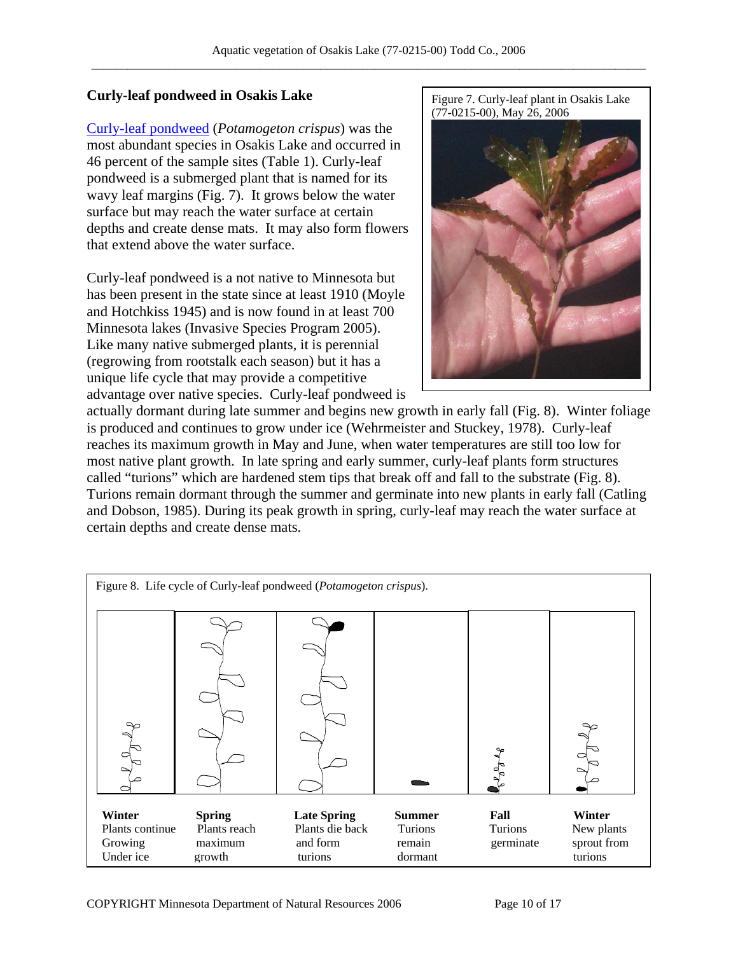### **Curly-leaf pondweed in Osakis Lake**

[Curly-leaf pondweed](http://www.dnr.state.mn.us/aquatic_plants/submerged_plants/curlyleaf_pondweed.html) (*Potamogeton crispus*) was the most abundant species in Osakis Lake and occurred in 46 percent of the sample sites (Table 1). Curly-leaf pondweed is a submerged plant that is named for its wavy leaf margins (Fig. 7). It grows below the water surface but may reach the water surface at certain depths and create dense mats. It may also form flowers that extend above the water surface.

Curly-leaf pondweed is a not native to Minnesota but has been present in the state since at least 1910 (Moyle) and Hotchkiss 1945) and is now found in at least 700 Minnesota lakes (Invasive Species Program 2005). Like many native submerged plants, it is perennial (regrowing from rootstalk each season) but it has a unique life cycle that may provide a competitive advantage over native species. Curly-leaf pondweed is Figure 7. Curly-leaf plant in Osakis Lake (77-0215-00), May 26, 2006

![](_page_9_Picture_5.jpeg)

actually dormant during late summer and begins new growth in early fall (Fig. 8). Winter foliage is produced and continues to grow under ice (Wehrmeister and Stuckey, 1978). Curly-leaf reaches its maximum growth in May and June, when water temperatures are still too low for most native plant growth. In late spring and early summer, curly-leaf plants form structures called "turions" which are hardened stem tips that break off and fall to the substrate (Fig. 8). Turions remain dormant through the summer and germinate into new plants in early fall (Catling and Dobson, 1985). During its peak growth in spring, curly-leaf may reach the water surface at certain depths and create dense mats.

![](_page_9_Figure_7.jpeg)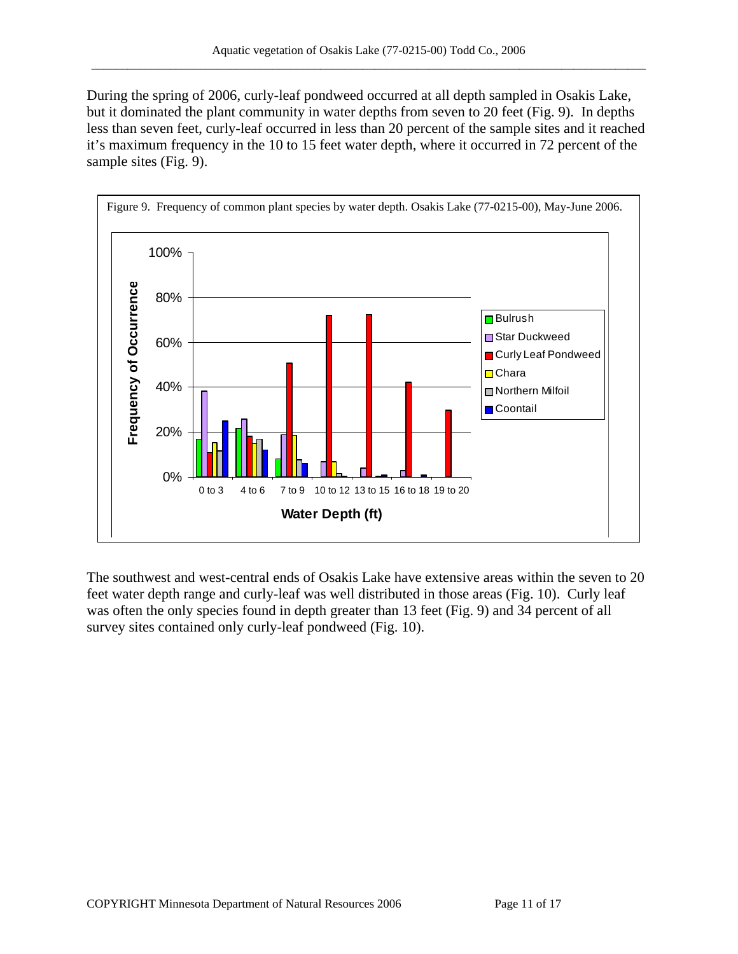During the spring of 2006, curly-leaf pondweed occurred at all depth sampled in Osakis Lake, but it dominated the plant community in water depths from seven to 20 feet (Fig. 9). In depths less than seven feet, curly-leaf occurred in less than 20 percent of the sample sites and it reached it's maximum frequency in the 10 to 15 feet water depth, where it occurred in 72 percent of the sample sites (Fig. 9).

![](_page_10_Figure_2.jpeg)

The southwest and west-central ends of Osakis Lake have extensive areas within the seven to 20 feet water depth range and curly-leaf was well distributed in those areas (Fig. 10). Curly leaf was often the only species found in depth greater than 13 feet (Fig. 9) and 34 percent of all survey sites contained only curly-leaf pondweed (Fig. 10).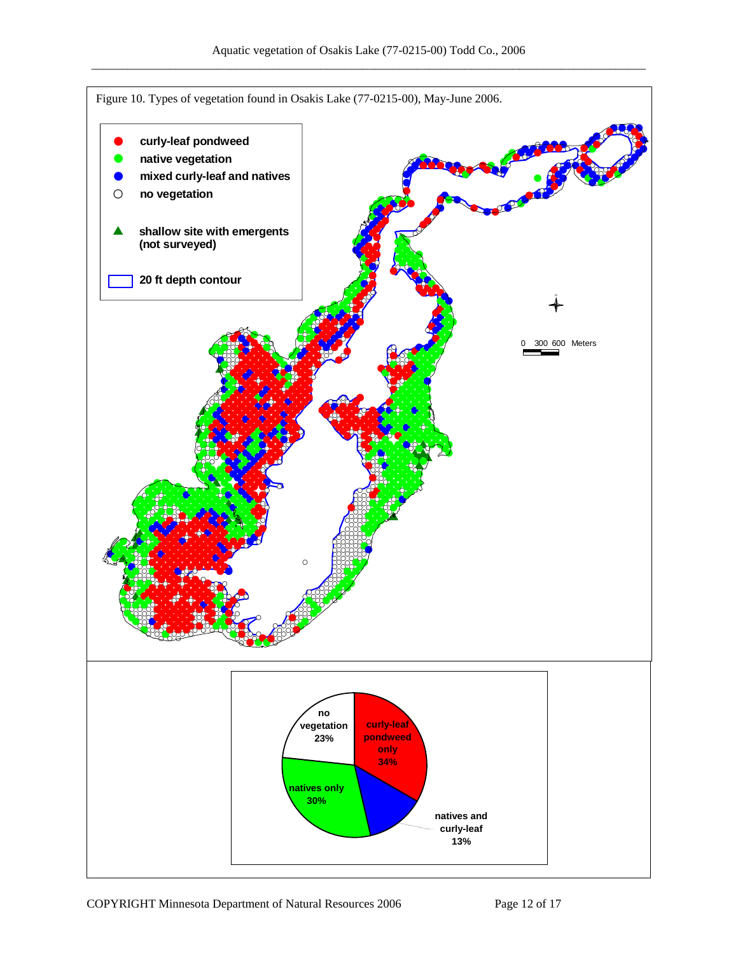![](_page_11_Figure_1.jpeg)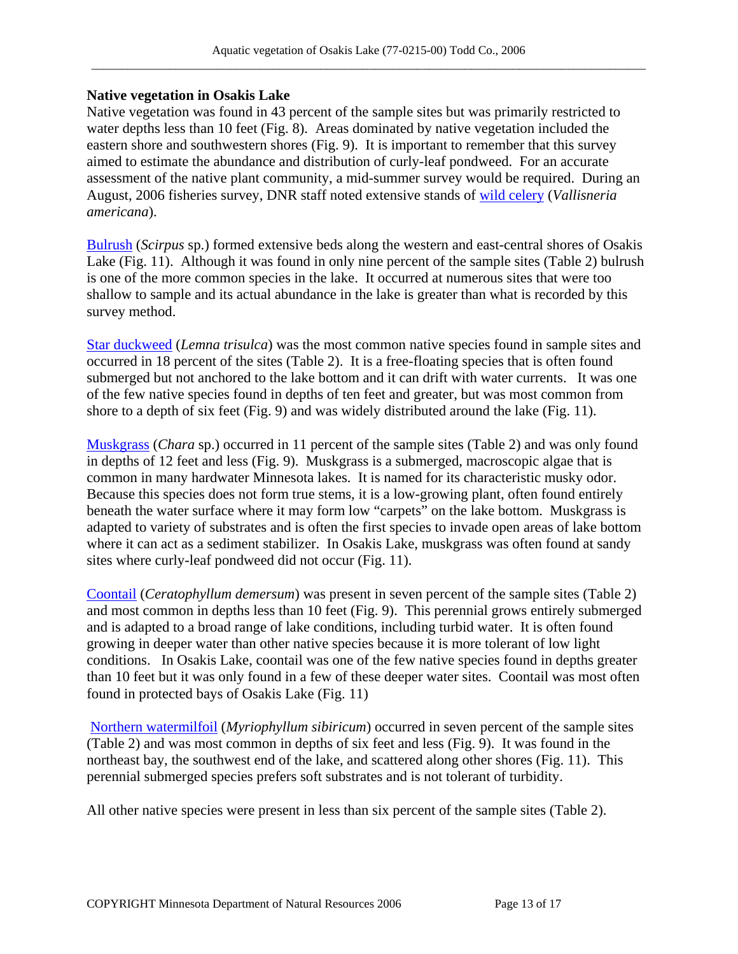#### **Native vegetation in Osakis Lake**

Native vegetation was found in 43 percent of the sample sites but was primarily restricted to water depths less than 10 feet (Fig. 8). Areas dominated by native vegetation included the eastern shore and southwestern shores (Fig. 9). It is important to remember that this survey aimed to estimate the abundance and distribution of curly-leaf pondweed. For an accurate assessment of the native plant community, a mid-summer survey would be required. During an August, 2006 fisheries survey, DNR staff noted extensive stands of [wild celery](http://www.dnr.state.mn.us/aquatic_plants/submerged_plants/wild_celery.html) (*Vallisneria americana*).

[Bulrush](http://www.dnr.state.mn.us/aquatic_plants/emergent_plants/bulrushes.html) (*Scirpus* sp.) formed extensive beds along the western and east-central shores of Osakis Lake (Fig. 11). Although it was found in only nine percent of the sample sites (Table 2) bulrush is one of the more common species in the lake. It occurred at numerous sites that were too shallow to sample and its actual abundance in the lake is greater than what is recorded by this survey method.

[Star duckweed](http://www.dnr.state.mn.us/aquatic_plants/floatingleaf_plants/duckweeds.html) (*Lemna trisulca*) was the most common native species found in sample sites and occurred in 18 percent of the sites (Table 2). It is a free-floating species that is often found submerged but not anchored to the lake bottom and it can drift with water currents. It was one of the few native species found in depths of ten feet and greater, but was most common from shore to a depth of six feet (Fig. 9) and was widely distributed around the lake (Fig. 11).

[Muskgrass](http://www.dnr.state.mn.us/aquatic_plants/algae/chara.html) (*Chara* sp.) occurred in 11 percent of the sample sites (Table 2) and was only found in depths of 12 feet and less (Fig. 9). Muskgrass is a submerged, macroscopic algae that is common in many hardwater Minnesota lakes. It is named for its characteristic musky odor. Because this species does not form true stems, it is a low-growing plant, often found entirely beneath the water surface where it may form low "carpets" on the lake bottom. Muskgrass is adapted to variety of substrates and is often the first species to invade open areas of lake bottom where it can act as a sediment stabilizer. In Osakis Lake, muskgrass was often found at sandy sites where curly-leaf pondweed did not occur (Fig. 11).

[Coontail](http://www.dnr.state.mn.us/aquatic_plants/submerged_plants/coontail.html) (*Ceratophyllum demersum*) was present in seven percent of the sample sites (Table 2) and most common in depths less than 10 feet (Fig. 9). This perennial grows entirely submerged and is adapted to a broad range of lake conditions, including turbid water. It is often found growing in deeper water than other native species because it is more tolerant of low light conditions. In Osakis Lake, coontail was one of the few native species found in depths greater than 10 feet but it was only found in a few of these deeper water sites. Coontail was most often found in protected bays of Osakis Lake (Fig. 11)

[Northern watermilfoil](http://www.dnr.state.mn.us/aquatic_plants/submerged_plants/northern_watermilfoil.html) (*Myriophyllum sibiricum*) occurred in seven percent of the sample sites (Table 2) and was most common in depths of six feet and less (Fig. 9). It was found in the northeast bay, the southwest end of the lake, and scattered along other shores (Fig. 11). This perennial submerged species prefers soft substrates and is not tolerant of turbidity.

All other native species were present in less than six percent of the sample sites (Table 2).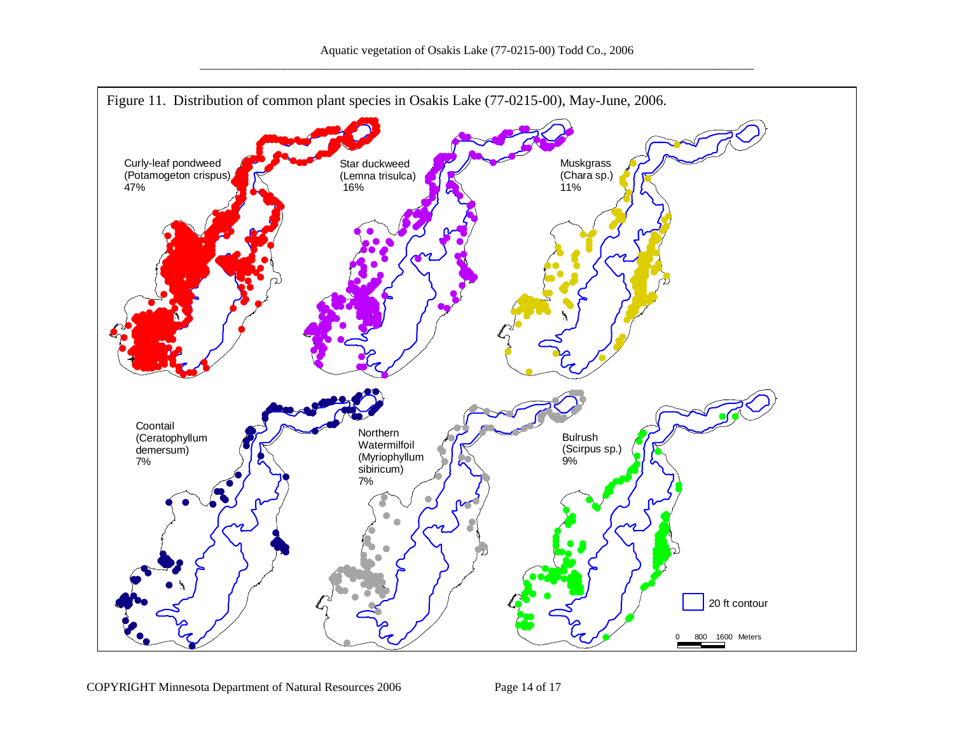![](_page_13_Figure_1.jpeg)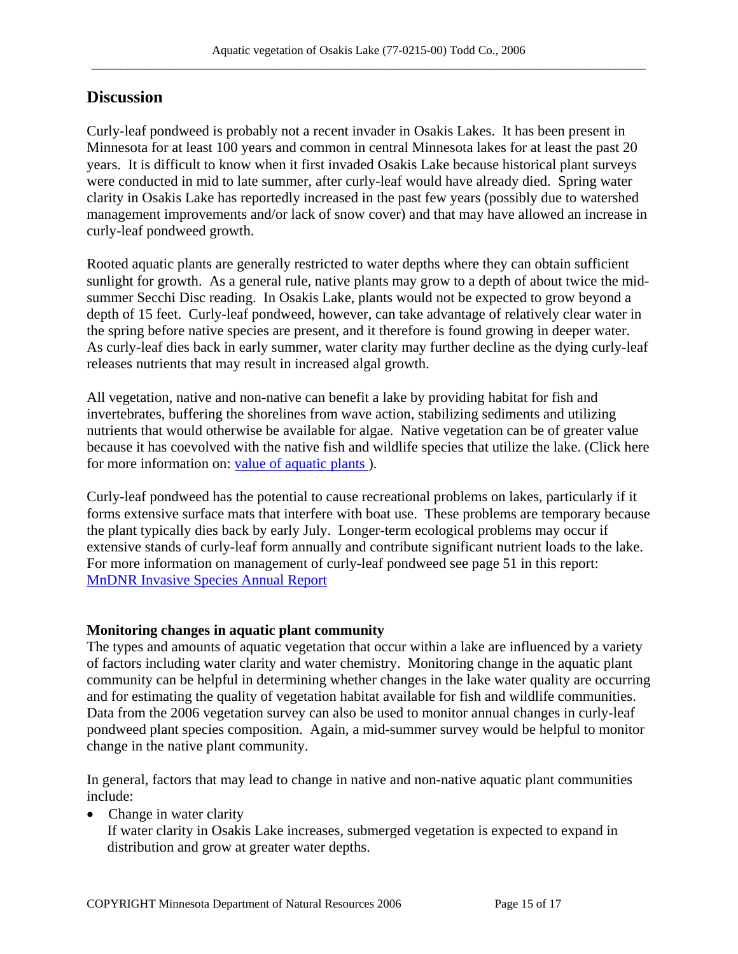# **Discussion**

Curly-leaf pondweed is probably not a recent invader in Osakis Lakes. It has been present in Minnesota for at least 100 years and common in central Minnesota lakes for at least the past 20 years. It is difficult to know when it first invaded Osakis Lake because historical plant surveys were conducted in mid to late summer, after curly-leaf would have already died. Spring water clarity in Osakis Lake has reportedly increased in the past few years (possibly due to watershed management improvements and/or lack of snow cover) and that may have allowed an increase in curly-leaf pondweed growth.

Rooted aquatic plants are generally restricted to water depths where they can obtain sufficient sunlight for growth. As a general rule, native plants may grow to a depth of about twice the midsummer Secchi Disc reading. In Osakis Lake, plants would not be expected to grow beyond a depth of 15 feet. Curly-leaf pondweed, however, can take advantage of relatively clear water in the spring before native species are present, and it therefore is found growing in deeper water. As curly-leaf dies back in early summer, water clarity may further decline as the dying curly-leaf releases nutrients that may result in increased algal growth.

All vegetation, native and non-native can benefit a lake by providing habitat for fish and invertebrates, buffering the shorelines from wave action, stabilizing sediments and utilizing nutrients that would otherwise be available for algae. Native vegetation can be of greater value because it has coevolved with the native fish and wildlife species that utilize the lake. (Click here for more information on: [value of aquatic plants \)](http://www.dnr.state.mn.us/shorelandmgmt/apg/value.html).

Curly-leaf pondweed has the potential to cause recreational problems on lakes, particularly if it forms extensive surface mats that interfere with boat use. These problems are temporary because the plant typically dies back by early July. Longer-term ecological problems may occur if extensive stands of curly-leaf form annually and contribute significant nutrient loads to the lake. For more information on management of curly-leaf pondweed see page 51 in this report: [MnDNR Invasive Species Annual Report](http://files.dnr.state.mn.us/ecological_services/invasives/annualreport.pdf)

### **Monitoring changes in aquatic plant community**

The types and amounts of aquatic vegetation that occur within a lake are influenced by a variety of factors including water clarity and water chemistry. Monitoring change in the aquatic plant community can be helpful in determining whether changes in the lake water quality are occurring and for estimating the quality of vegetation habitat available for fish and wildlife communities. Data from the 2006 vegetation survey can also be used to monitor annual changes in curly-leaf pondweed plant species composition. Again, a mid-summer survey would be helpful to monitor change in the native plant community.

In general, factors that may lead to change in native and non-native aquatic plant communities include:

• Change in water clarity

If water clarity in Osakis Lake increases, submerged vegetation is expected to expand in distribution and grow at greater water depths.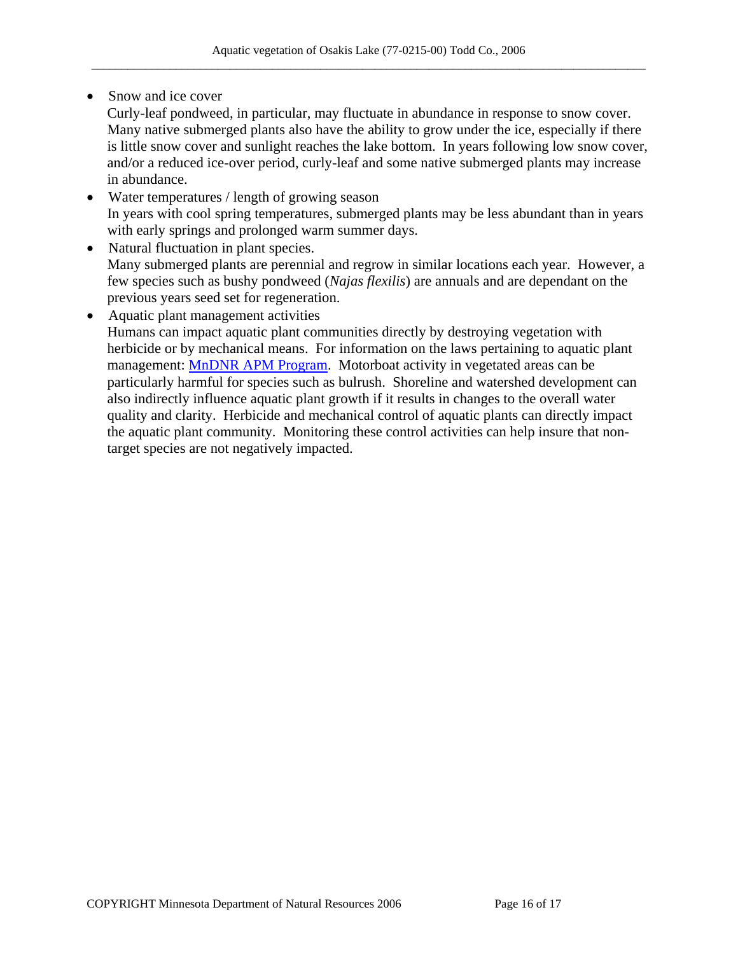• Snow and ice cover

Curly-leaf pondweed, in particular, may fluctuate in abundance in response to snow cover. Many native submerged plants also have the ability to grow under the ice, especially if there is little snow cover and sunlight reaches the lake bottom. In years following low snow cover, and/or a reduced ice-over period, curly-leaf and some native submerged plants may increase in abundance.

- Water temperatures / length of growing season In years with cool spring temperatures, submerged plants may be less abundant than in years with early springs and prolonged warm summer days.
- Natural fluctuation in plant species. Many submerged plants are perennial and regrow in similar locations each year. However, a few species such as bushy pondweed (*Najas flexilis*) are annuals and are dependant on the previous years seed set for regeneration.
- Aquatic plant management activities

Humans can impact aquatic plant communities directly by destroying vegetation with herbicide or by mechanical means. For information on the laws pertaining to aquatic plant management: [MnDNR APM Program.](http://www.dnr.state.mn.us/ecological_services/apm/index.html) Motorboat activity in vegetated areas can be particularly harmful for species such as bulrush. Shoreline and watershed development can also indirectly influence aquatic plant growth if it results in changes to the overall water quality and clarity. Herbicide and mechanical control of aquatic plants can directly impact the aquatic plant community. Monitoring these control activities can help insure that nontarget species are not negatively impacted.